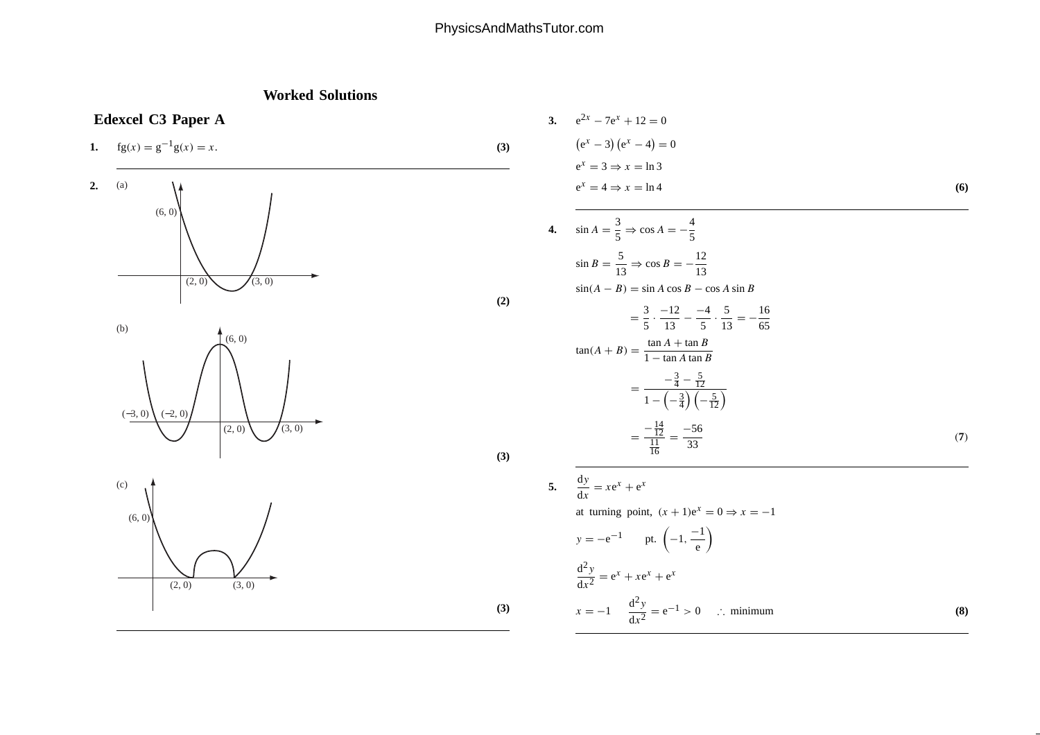## PhysicsAndMathsTutor.com

## **Worked Solutions**



3. 
$$
e^{2x} - 7e^x + 12 = 0
$$
  
\n $(e^x - 3) (e^x - 4) = 0$   
\n $e^x = 3 \Rightarrow x = \ln 3$   
\n $e^x = 4 \Rightarrow x = \ln 4$  (6)

**(2)**

4.  $\sin A = \frac{3}{5} \Rightarrow \cos A = -\frac{4}{5}$  $\sin B = \frac{5}{13} \Rightarrow \cos B = -$ 12 13  $sin(A - B) = sin A cos B - cos A sin B$  $=$  $\frac{3}{5}$ .  $\frac{-12}{13}$ −  $\frac{-4}{5} \cdot \frac{5}{13} = -\frac{16}{65}$  $\tan(A+B) = \frac{\tan A + \tan B}{1 - \tan A \tan B}$ =  $-\frac{3}{4} - \frac{5}{12}$  $1 - \left(-\frac{3}{4}\right) \left(-\frac{5}{12}\right)$ =  $-\frac{14}{12}$ <br> $\frac{11}{16}$  $=\frac{-56}{33}$  $\frac{1}{3}$  (7)

5. 
$$
\frac{dy}{dx} = xe^{x} + e^{x}
$$
  
at turning point,  $(x + 1)e^{x} = 0 \Rightarrow x = -1$   
 $y = -e^{-1}$  pt.  $\left(-1, \frac{-1}{e}\right)$   

$$
\frac{d^{2}y}{dx^{2}} = e^{x} + xe^{x} + e^{x}
$$

$$
x = -1 \quad \frac{d^{2}y}{dx^{2}} = e^{-1} > 0 \quad \therefore \text{ minimum}
$$
(8)

**(3)**

**(3)**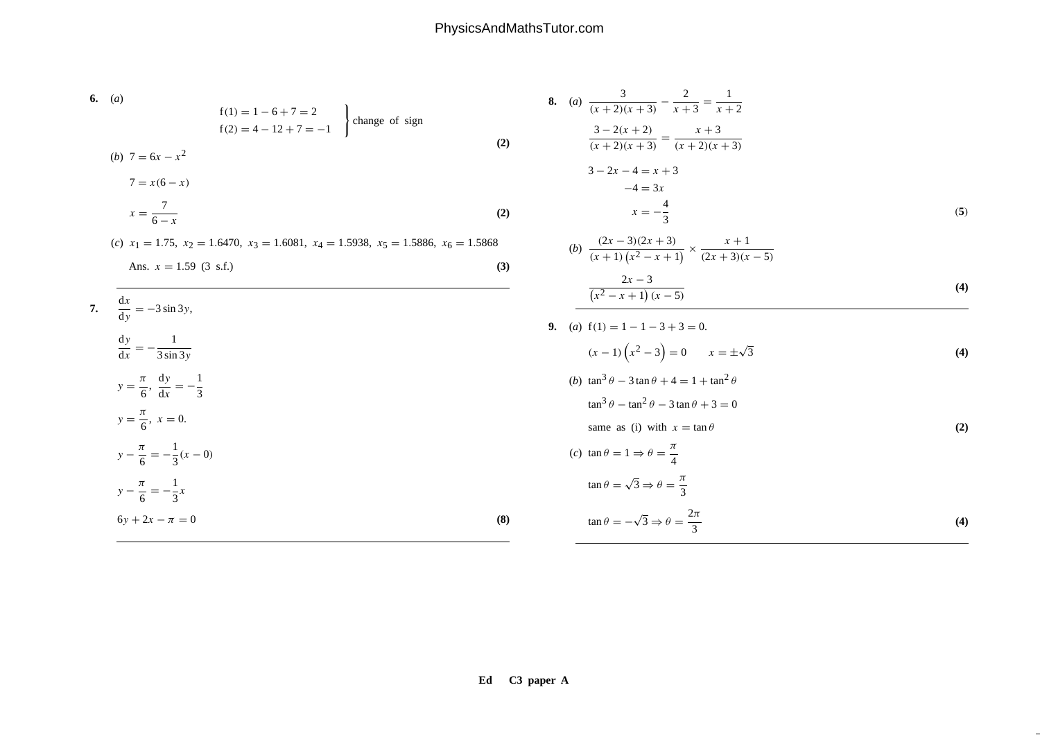6. (a)  
\n
$$
f(1) = 1 - 6 + 7 = 2
$$
  
\n $f(2) = 4 - 12 + 7 = -1$   
\n(b)  $7 = 6x - x^2$   
\n $7 = x(6 - x)$   
\n $x = \frac{7}{6 - x}$   
\n(c)  $x_1 = 1.75$ ,  $x_2 = 1.6470$ ,  $x_3 = 1.6081$ ,  $x_4 = 1.5938$ ,  $x_5 = 1.5886$ ,  $x_6 = 1.5868$   
\nAns.  $x = 1.59$  (3 s.f.)  
\n7.  $\frac{dx}{dy} = -3 \sin 3y$ ,  
\n $\frac{dy}{dx} = -\frac{1}{3 \sin 3y}$   
\n $y = \frac{\pi}{6}$ ,  $\frac{dy}{dx} = -\frac{1}{3}$   
\n $y = \frac{\pi}{6}$ ,  $x = 0$ .  
\n $y - \frac{\pi}{6} = -\frac{1}{3}x$   
\n $y = -\frac{\pi}{6} = \frac{1}{3}x$   
\n $y = -\frac{\pi}{6} = \frac{1}{3}x$   
\n(a)  $y = -\frac{\pi}{6} = -\frac{1}{3}x$   
\n(b)  $\frac{2x - 3(2x + 3)}{(x^2 - x + 1)(x - 5)}$   
\n(b)  $\frac{2x - 3}{(x^2 - x + 1)(x - 5)}$   
\n(c)  $x = 1 - 3 + 3 = 0$ .  
\n $x = -\frac{4}{3}$   
\n $y = \frac{\pi}{6}$ ,  $y = \frac{1}{3}$   
\n $y = \frac{\pi}{6}$ ,  $x = 0$ .  
\n(a)  $y = -\frac{\pi}{6} = -\frac{1}{3}x$   
\n(b)  $\tan^3 \theta - \tan^2 \theta + 3 = 0$   
\n $\tan \theta = \sqrt{3} \Rightarrow \theta = \frac{\pi}{3}$   
\n $\frac{\pi}{3}$   
\n $\frac{\pi}{3}$   
\n(b)  $\tan^3 \theta - \tan^2 \theta + 3 =$